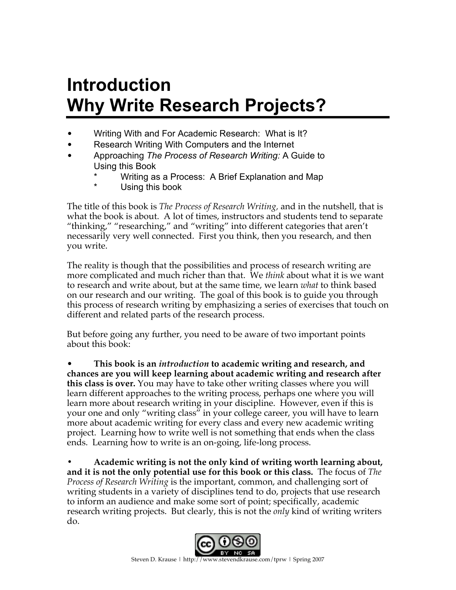# **Introduction Why Write Research Projects?**

- Writing With and For Academic Research: What is It?
- Research Writing With Computers and the Internet
- Approaching *The Process of Research Writing:* A Guide to Using this Book
	- Writing as a Process: A Brief Explanation and Map
	- Using this book

The title of this book is *The Process of Research Writing,* and in the nutshell, that is what the book is about. A lot of times, instructors and students tend to separate "thinking," "researching," and "writing" into different categories that aren't necessarily very well connected. First you think, then you research, and then you write.

The reality is though that the possibilities and process of research writing are more complicated and much richer than that. We *think* about what it is we want to research and write about, but at the same time, we learn *what* to think based on our research and our writing. The goal of this book is to guide you through this process of research writing by emphasizing a series of exercises that touch on different and related parts of the research process.

But before going any further, you need to be aware of two important points about this book:

• **This book is an** *introduction* **to academic writing and research, and chances are you will keep learning about academic writing and research after this class is over.** You may have to take other writing classes where you will learn different approaches to the writing process, perhaps one where you will learn more about research writing in your discipline. However, even if this is your one and only "writing class" in your college career, you will have to learn more about academic writing for every class and every new academic writing project. Learning how to write well is not something that ends when the class ends. Learning how to write is an on-going, life-long process.

**• Academic writing is not the only kind of writing worth learning about, and it is not the only potential use for this book or this class.** The focus of *The Process of Research Writing* is the important, common, and challenging sort of writing students in a variety of disciplines tend to do, projects that use research to inform an audience and make some sort of point; specifically, academic research writing projects. But clearly, this is not the *only* kind of writing writers do.

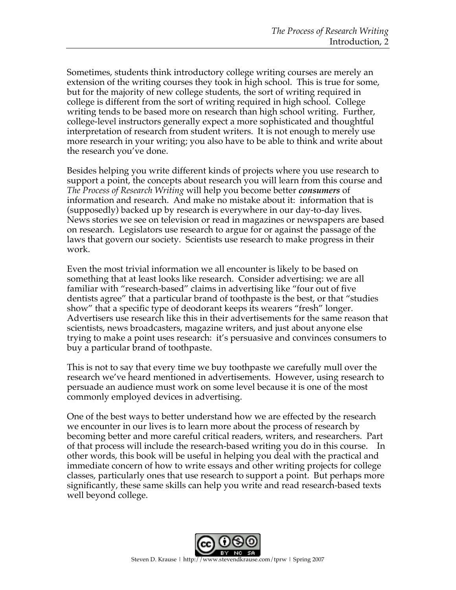Sometimes, students think introductory college writing courses are merely an extension of the writing courses they took in high school. This is true for some, but for the majority of new college students, the sort of writing required in college is different from the sort of writing required in high school. College writing tends to be based more on research than high school writing. Further, college-level instructors generally expect a more sophisticated and thoughtful interpretation of research from student writers. It is not enough to merely use more research in your writing; you also have to be able to think and write about the research you've done.

Besides helping you write different kinds of projects where you use research to support a point, the concepts about research you will learn from this course and *The Process of Research Writing* will help you become better *consumers* of information and research. And make no mistake about it: information that is (supposedly) backed up by research is everywhere in our day-to-day lives. News stories we see on television or read in magazines or newspapers are based on research. Legislators use research to argue for or against the passage of the laws that govern our society. Scientists use research to make progress in their work.

Even the most trivial information we all encounter is likely to be based on something that at least looks like research. Consider advertising: we are all familiar with "research-based" claims in advertising like "four out of five dentists agree" that a particular brand of toothpaste is the best, or that "studies show" that a specific type of deodorant keeps its wearers "fresh" longer. Advertisers use research like this in their advertisements for the same reason that scientists, news broadcasters, magazine writers, and just about anyone else trying to make a point uses research: it's persuasive and convinces consumers to buy a particular brand of toothpaste.

This is not to say that every time we buy toothpaste we carefully mull over the research we've heard mentioned in advertisements. However, using research to persuade an audience must work on some level because it is one of the most commonly employed devices in advertising.

One of the best ways to better understand how we are effected by the research we encounter in our lives is to learn more about the process of research by becoming better and more careful critical readers, writers, and researchers. Part of that process will include the research-based writing you do in this course. In other words, this book will be useful in helping you deal with the practical and immediate concern of how to write essays and other writing projects for college classes, particularly ones that use research to support a point. But perhaps more significantly, these same skills can help you write and read research-based texts well beyond college.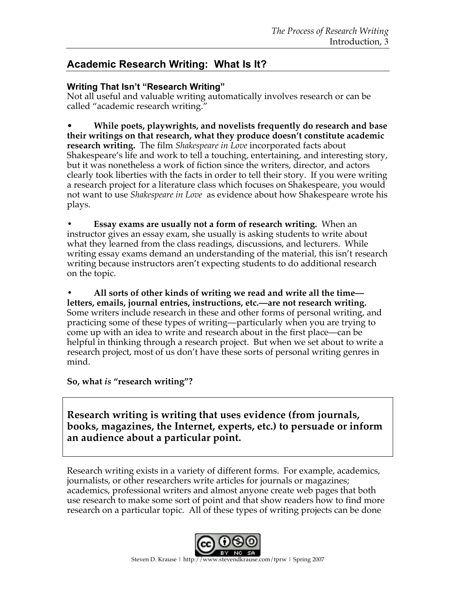## **Academic Research Writing: What Is It?**

#### **Writing That Isn't "Research Writing"**

Not all useful and valuable writing automatically involves research or can be called "academic research writing."

• **While poets, playwrights, and novelists frequently do research and base their writings on that research, what they produce doesn't constitute academic research writing.** The film *Shakespeare in Love* incorporated facts about Shakespeare's life and work to tell a touching, entertaining, and interesting story, but it was nonetheless a work of fiction since the writers, director, and actors clearly took liberties with the facts in order to tell their story. If you were writing a research project for a literature class which focuses on Shakespeare, you would not want to use *Shakespeare in Love* as evidence about how Shakespeare wrote his plays.

**• Essay exams are usually not a form of research writing.** When an instructor gives an essay exam, she usually is asking students to write about what they learned from the class readings, discussions, and lecturers. While writing essay exams demand an understanding of the material, this isn't research writing because instructors aren't expecting students to do additional research on the topic.

**• All sorts of other kinds of writing we read and write all the time letters, emails, journal entries, instructions, etc.—are not research writing.**  Some writers include research in these and other forms of personal writing, and practicing some of these types of writing—particularly when you are trying to come up with an idea to write and research about in the first place—can be helpful in thinking through a research project. But when we set about to write a research project, most of us don't have these sorts of personal writing genres in mind.

**So, what** *is* **"research writing"?**

**Research writing is writing that uses evidence (from journals, books, magazines, the Internet, experts, etc.) to persuade or inform an audience about a particular point.** 

Research writing exists in a variety of different forms. For example, academics, journalists, or other researchers write articles for journals or magazines; academics, professional writers and almost anyone create web pages that both use research to make some sort of point and that show readers how to find more research on a particular topic. All of these types of writing projects can be done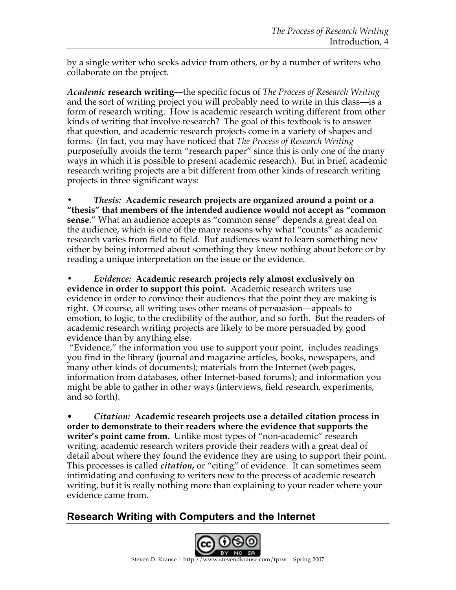by a single writer who seeks advice from others, or by a number of writers who collaborate on the project.

*Academic* **research writing**—the specific focus of *The Process of Research Writing* and the sort of writing project you will probably need to write in this class—is a form of research writing. How is academic research writing different from other kinds of writing that involve research? The goal of this textbook is to answer that question, and academic research projects come in a variety of shapes and forms. (In fact, you may have noticed that *The Process of Research Writing*  purposefully avoids the term "research paper" since this is only one of the many ways in which it is possible to present academic research). But in brief, academic research writing projects are a bit different from other kinds of research writing projects in three significant ways:

**•** *Thesis:* **Academic research projects are organized around a point or a "thesis" that members of the intended audience would not accept as "common sense**." What an audience accepts as "common sense" depends a great deal on the audience, which is one of the many reasons why what "counts" as academic research varies from field to field. But audiences want to learn something new either by being informed about something they knew nothing about before or by reading a unique interpretation on the issue or the evidence.

**•** *Evidence:* **Academic research projects rely almost exclusively on evidence in order to support this point.** Academic research writers use evidence in order to convince their audiences that the point they are making is right. Of course, all writing uses other means of persuasion—appeals to emotion, to logic, to the credibility of the author, and so forth. But the readers of academic research writing projects are likely to be more persuaded by good evidence than by anything else.

 "Evidence," the information you use to support your point*,* includes readings you find in the library (journal and magazine articles, books, newspapers, and many other kinds of documents); materials from the Internet (web pages, information from databases, other Internet-based forums); and information you might be able to gather in other ways (interviews, field research, experiments, and so forth).

• *Citation:* **Academic research projects use a detailed citation process in order to demonstrate to their readers where the evidence that supports the writer's point came from.** Unlike most types of "non-academic" research writing, academic research writers provide their readers with a great deal of detail about where they found the evidence they are using to support their point. This processes is called *citation,* or "citing" of evidence. It can sometimes seem intimidating and confusing to writers new to the process of academic research writing, but it is really nothing more than explaining to your reader where your evidence came from.

#### **Research Writing with Computers and the Internet**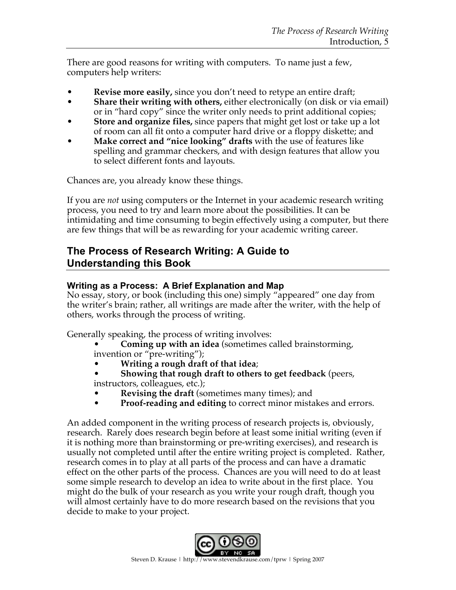There are good reasons for writing with computers. To name just a few, computers help writers:

- **Revise more easily, since you don't need to retype an entire draft;**
- **Share their writing with others,** either electronically (on disk or via email) or in "hard copy" since the writer only needs to print additional copies;
- **Store and organize files,** since papers that might get lost or take up a lot of room can all fit onto a computer hard drive or a floppy diskette; and
- **Make correct and "nice looking" drafts** with the use of features like spelling and grammar checkers, and with design features that allow you to select different fonts and layouts.

Chances are, you already know these things.

If you are *not* using computers or the Internet in your academic research writing process, you need to try and learn more about the possibilities. It can be intimidating and time consuming to begin effectively using a computer, but there are few things that will be as rewarding for your academic writing career.

### **The Process of Research Writing: A Guide to Understanding this Book**

#### **Writing as a Process: A Brief Explanation and Map**

No essay, story, or book (including this one) simply "appeared" one day from the writer's brain; rather, all writings are made after the writer, with the help of others, works through the process of writing.

Generally speaking, the process of writing involves:

- **Coming up with an idea** (sometimes called brainstorming, invention or "pre-writing");
- **Writing a rough draft of that idea**;
- **Showing that rough draft to others to get feedback** (peers, instructors, colleagues, etc.);
- **Revising the draft** (sometimes many times); and
- **Proof-reading and editing** to correct minor mistakes and errors.

An added component in the writing process of research projects is, obviously, research. Rarely does research begin before at least some initial writing (even if it is nothing more than brainstorming or pre-writing exercises), and research is usually not completed until after the entire writing project is completed. Rather, research comes in to play at all parts of the process and can have a dramatic effect on the other parts of the process. Chances are you will need to do at least some simple research to develop an idea to write about in the first place. You might do the bulk of your research as you write your rough draft, though you will almost certainly have to do more research based on the revisions that you decide to make to your project.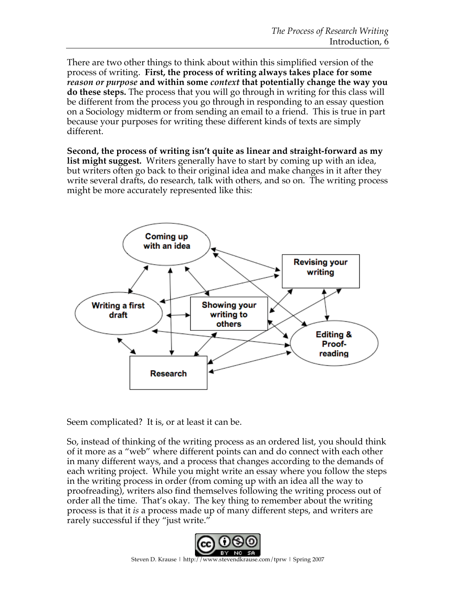There are two other things to think about within this simplified version of the process of writing. **First, the process of writing always takes place for some**  *reason or purpose* **and within some** *context* **that potentially change the way you do these steps.** The process that you will go through in writing for this class will be different from the process you go through in responding to an essay question on a Sociology midterm or from sending an email to a friend. This is true in part because your purposes for writing these different kinds of texts are simply different.

**Second, the process of writing isn't quite as linear and straight-forward as my list might suggest.** Writers generally have to start by coming up with an idea, but writers often go back to their original idea and make changes in it after they write several drafts, do research, talk with others, and so on. The writing process might be more accurately represented like this:



Seem complicated? It is, or at least it can be.

So, instead of thinking of the writing process as an ordered list, you should think of it more as a "web" where different points can and do connect with each other in many different ways, and a process that changes according to the demands of each writing project. While you might write an essay where you follow the steps in the writing process in order (from coming up with an idea all the way to proofreading), writers also find themselves following the writing process out of order all the time. That's okay. The key thing to remember about the writing process is that it *is* a process made up of many different steps, and writers are rarely successful if they "just write."